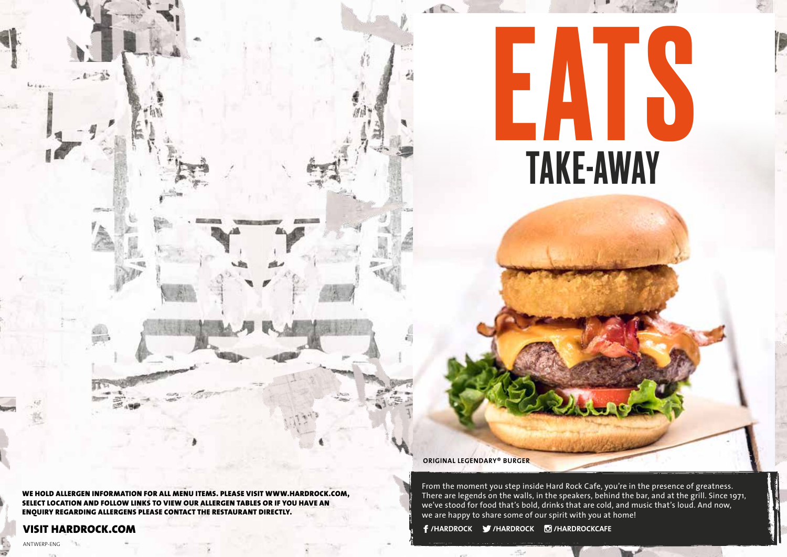WE HOLD ALLERGEN INFORMATION FOR ALL MENU ITEMS. PLEASE VISIT WWW.HARDROCK.COM, SELECT LOCATION AND FOLLOW LINKS TO VIEW OUR ALLERGEN TABLES OR IF YOU HAVE AN ENQUIRY REGARDING ALLERGENS PLEASE CONTACT THE RESTAURANT DIRECTLY.

### VISIT HARDROCK.COM

 $L_{\ell}$ 

**ORIGINAL LEGENDARY® BURGER**

 $\sqrt{2}$ 

From the moment you step inside Hard Rock Cafe, you're in the presence of greatness. There are legends on the walls, in the speakers, behind the bar, and at the grill. Since 1971, we've stood for food that's bold, drinks that are cold, and music that's loud. And now, we are happy to share some of our spirit with you at home!

EATS

TAKE-AWAY

**/HARDROCK /HARDROCK /HARDROCKCAFE**